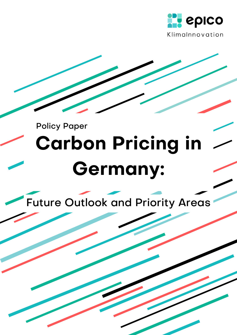

# Policy Paper **Carbon Pricing in Germany:**

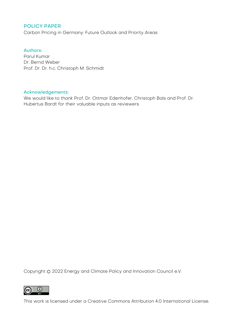#### POLICY PAPER

Carbon Pricing in Germany: Future Outlook and Priority Areas

#### Authors:

Parul Kumar Dr. Bernd Weber Prof. Dr. Dr. h.c. Christoph M. Schmidt

#### Acknowledgements:

We would like to thank Prof. Dr. Ottmar Edenhofer, Christoph Bals and Prof. Dr. Hubertus Bardt for their valuable inputs as reviewers.

Copyright © 2022 Energy and Climate Policy and Innovation Council e.V.



This work is licensed under a Creative Commons Attribution 4.0 [International](https://creativecommons.org/licenses/by/4.0/) License.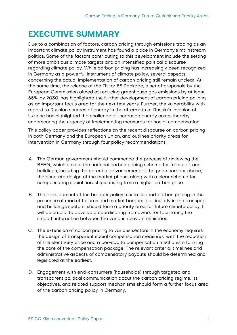# <span id="page-2-0"></span>**EXECUTIVE SUMMARY**

Due to a combination of factors, carbon pricing through emissions trading as an important climate policy instrument has found a place in Germany's mainstream politics. Some of the factors contributing to this development include the setting of more ambitious climate targets and an intensified political discourse regarding climate policy. While carbon pricing has increasingly been recognized in Germany as a powerful instrument of climate policy, several aspects concerning the actual implementation of carbon pricing still remain unclear. At the same time, the release of the Fit for 55 Package, a set of proposals by the European Commission aimed at reducing greenhouse gas emissions by at least 55% by 2030, has highlighted the further development of carbon pricing policies as an important focus area for the next few years. Further, the vulnerability with regard to Russian sources of energy in the aftermath of Russia's invasion of Ukraine has highlighted the challenge of increased energy costs, thereby underscoring the urgency of implementing measures for social compensation.

This policy paper provides reflections on the recent discourse on carbon pricing in both Germany and the European Union, and outlines priority areas for intervention in Germany through four policy recommendations.

- A. The German government should commence the process of reviewing the BEHG, which covers the national carbon pricing scheme for transport and buildings, including the potential advancement of the price corridor phase, the concrete design of the market phase, along with a clear scheme for compensating social hardships arising from a higher carbon price.
- B. The development of the broader policy mix to support carbon pricing in the presence of market failures and market barriers, particularly in the transport and buildings sectors, should form a priority area for future climate policy. It will be crucial to develop a coordinating framework for facilitating the smooth interaction between the various relevant ministries.
- C. The extension of carbon pricing to various sectors in the economy requires the design of transparent social compensation measures, with the reduction of the electricity price and a per-capita compensation mechanism forming the core of the compensation package. The relevant criteria, timelines and administrative aspects of compensatory payouts should be determined and legislated at the earliest.
- D. Engagement with end-consumers (households) through targeted and transparent political communication about the carbon pricing regime, its objectives, and related support mechanisms should form a further focus area of the carbon pricing policy in Germany.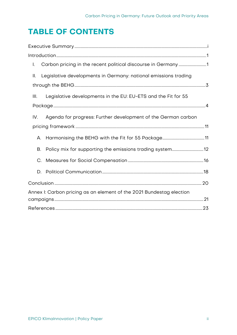# **TABLE OF CONTENTS**

| I.                                                                    |  |
|-----------------------------------------------------------------------|--|
| Legislative developments in Germany: national emissions trading<br>Ш. |  |
|                                                                       |  |
| Legislative developments in the EU: EU-ETS and the Fit for 55<br>Ш.   |  |
|                                                                       |  |
| IV.<br>Agenda for progress: Further development of the German carbon  |  |
|                                                                       |  |
| А.                                                                    |  |
| <b>B.</b>                                                             |  |
| C.                                                                    |  |
| D.                                                                    |  |
|                                                                       |  |
| Annex I: Carbon pricing as an element of the 2021 Bundestag election  |  |
|                                                                       |  |
|                                                                       |  |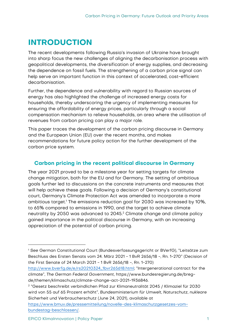# <span id="page-4-0"></span>**INTRODUCTION**

The recent developments following Russia's invasion of Ukraine have brought into sharp focus the new challenges of aligning the decarbonisation process with geopolitical developments, the diversification of energy supplies, and decreasing the dependence on fossil fuels. The strengthening of a carbon price signal can help serve an important function in this context of accelerated, cost-efficient decarbonisation.

Further, the dependence and vulnerability with regard to Russian sources of energy has also highlighted the challenge of increased energy costs for households, thereby underscoring the urgency of implementing measures for ensuring the affordability of energy prices, particularly through a social compensation mechanism to relieve households, an area where the utilisation of revenues from carbon pricing can play a major role.

This paper traces the development of the carbon pricing discourse in Germany and the European Union (EU) over the recent months, and makes recommendations for future policy action for the further development of the carbon price system.

# <span id="page-4-1"></span>**Carbon pricing in the recent political discourse in Germany**

The year 2021 proved to be a milestone year for setting targets for climate change mitigation, both for the EU and for Germany. The setting of ambitious goals further led to discussions on the concrete instruments and measures that will help achieve these goals. Following a decision of Germany's constitutional court, Germany's Climate Protection Act was amended to incorporate a more ambitious target.<sup>1</sup> The emissions reduction goal for 2030 was increased by 10%, to 65% compared to emissions in 1990, and the target to achieve climate neutrality by 2050 was advanced to 2045. <sup>2</sup> Climate change and climate policy gained importance in the political discourse in Germany, with an increasing appreciation of the potential of carbon pricing.

[https://www.bmuv.de/pressemitteilung/novelle-des-klimaschutzgesetzes-vom](https://www.bmuv.de/pressemitteilung/novelle-des-klimaschutzgesetzes-vom-bundestag-beschlossen/)[bundestag-beschlossen/.](https://www.bmuv.de/pressemitteilung/novelle-des-klimaschutzgesetzes-vom-bundestag-beschlossen/)

<sup>1</sup> See German Constitutional Court (Bundesverfassungsgericht or BVerfG), "Leitsätze zum Beschluss des Ersten Senats vom 24. März 2021 - 1 BvR 2656/18 -, Rn. 1-270" (Decision of the First Senate of 24 March 2021 - 1 BvR 2656/18 -, Rn. 1-270)

[http://www.bverfg.de/e/rs20210324\\_1bvr265618.html;](http://www.bverfg.de/e/rs20210324_1bvr265618.html) "Intergenerational contract for the climate", The German Federal Government, https://www.bundesregierung.de/bregde/themen/klimaschutz/climate-change-act-2021-1936846.

<sup>2</sup> "Gesetz beschreibt verbindlichen Pfad zur Klimaneutralität 2045 / Klimaziel für 2030 wird von 55 auf 65 Prozent erhöht", Bundesministerium für Umwelt, Naturschutz, nukleare Sicherheit und Verbraucherschutz (June 24, 2021), available at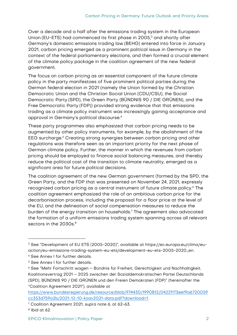Over a decade and a half after the emissions trading system in the European Union (EU-ETS) had commenced its first phase in 2005, <sup>3</sup> and shortly after Germany's domestic emissions trading law (BEHG) entered into force in January 2021, carbon pricing emerged as a prominent political issue in Germany in the context of the federal parliamentary elections, and then formed a crucial element of the climate policy package in the coalition agreement of the new federal government.

The focus on carbon pricing as an essential component of the future climate policy in the party manifestoes of five prominent political parties during the German federal election in 2021 (namely the Union formed by the Christian Democratic Union and the Christian Social Union (CDU/CSU), the Social Democratic Party (SPD), the Green Party (BÜNDNIS 90 / DIE GRÜNEN), and the Free Democratic Party (FDP)) provided strong evidence that that emissions trading as a climate policy instrument was increasingly gaining acceptance and approval in Germany's political discourse.<sup>4</sup>

These party programmes also emphasized that carbon pricing needs to be augmented by other policy instruments, for example, by the abolishment of the EEG surcharge.<sup>5</sup> Creating strong synergies between carbon pricing and other regulations was therefore seen as an important priority for the next phase of German climate policy. Further, the manner in which the revenues from carbon pricing should be employed to finance social balancing measures, and thereby reduce the political cost of the transition to climate neutrality, emerged as a significant area for future political decisions.

The coalition agreement of the new German government (formed by the SPD, the Green Party, and the FDP that was presented on November 24, 2021, expressly recognized carbon pricing as a central instrument of future climate policy. <sup>6</sup> The coalition agreement emphasized the role of an ambitious carbon price for the decarbonisation process, including the proposal for a floor price at the level of the EU, and the delineation of social compensation measures to reduce the burden of the energy transition on households. <sup>7</sup> The agreement also advocated the formation of a uniform emissions trading system spanning across all relevant sectors in the 2030s. 8

<sup>3</sup> See "Development of EU ETS (2005-2020)", available at https://ec.europa.eu/clima/euaction/eu-emissions-trading-system-eu-ets/development-eu-ets-2005-2020\_en.

<sup>4</sup> See Annex I for further details.

<sup>5</sup> See Annex I for further details.

<sup>6</sup> See "Mehr Fortschritt wagen – Bündnis für Freiheit, Gerechtigkeit und Nachhaltigkeit. Koalitionsvertrag 2021 – 2025 zwischen der Sozialdemokratischen Partei Deutschlands (SPD), BÜNDNIS 90 / DIE GRÜNEN und den Freien Demokraten (FDP)" (hereinafter the "Coalition Agreement 2021"), available at

[https://www.bundesregierung.de/resource/blob/974430/1990812/04221173eef9a6720059](https://www.bundesregierung.de/resource/blob/974430/1990812/04221173eef9a6720059cc353d759a2b/2021-12-10-koav2021-data.pdf?download=1) [cc353d759a2b/2021-12-10-koav2021-data.pdf?download=1.](https://www.bundesregierung.de/resource/blob/974430/1990812/04221173eef9a6720059cc353d759a2b/2021-12-10-koav2021-data.pdf?download=1)

<sup>7</sup> Coalition Agreement 2021, supra note 6, at 62-63.

<sup>8</sup> Ibid at 62.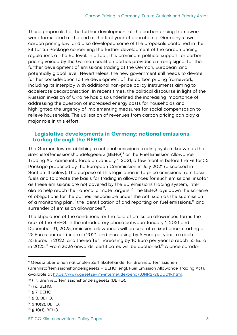These proposals for the further development of the carbon pricing framework were formulated at the end of the first year of operation of Germany's own carbon pricing law, and also developed some of the proposals contained in the Fit for 55 Package concerning the further development of the carbon pricing regulations at the EU level. In effect, this prominent political support for carbon pricing voiced by the German coalition parties provides a strong signal for the further development of emissions trading at the German, European, and potentially global level. Nevertheless, the new government still needs to devote further consideration to the development of the carbon pricing framework, including its interplay with additional non-price policy instruments aiming to accelerate decarbonisation. In recent times, the political discourse in light of the Russian invasion of Ukraine has also underlined the increasing importance of addressing the question of increased energy costs for households and highlighted the urgency of implementing measures for social compensation to relieve households. The utilisation of revenues from carbon pricing can play a major role in this effort.

# <span id="page-6-0"></span>**Legislative developments in Germany: national emissions trading through the BEHG**

The German law establishing a national emissions trading system known as the Brennstoffemissionshandelsgesetz (BEHG) <sup>9</sup> or the Fuel Emission Allowance Trading Act came into force on January 1, 2021, a few months before the Fit for 55 Package proposed by the European Commission in July 2021 (discussed in Section III below). The purpose of this legislation is to price emissions from fossil fuels and to create the basis for trading in allowances for such emissions, insofar as these emissions are not covered by the EU emissions trading system, inter alia to help reach the national climate targets.<sup>10</sup> The BEHG lays down the scheme of obligations for the parties responsible under the Act, such as the submission of a monitoring plan,<sup>11</sup> the identification of and reporting on fuel emissions, $^{12}$  and surrender of emission allowances<sup>13</sup>.

The stipulation of the conditions for the sale of emission allowances forms the crux of the BEHG: in the introductory phase between January 1, 2021 and December 31, 2025, emission allowances will be sold at a fixed price, starting at 25 Euros per certificate in 2021, and increasing by 5 Euro per year to reach 35 Euros in 2023, and thereafter increasing by 10 Euro per year to reach 55 Euro in 2025. <sup>14</sup> From 2026 onwards, certificates will be auctioned.<sup>15</sup> A price corridor

<sup>9</sup> Gesetz über einen nationalen Zertifikatehandel für Brennstoffemissionen (Brennstoffemissionshandelsgesetz – BEHG; engl. Fuel Emission Allowance Trading Act), available at [https://www.gesetze-im-internet.de/behg/BJNR272800019.html.](https://www.gesetze-im-internet.de/behg/BJNR272800019.html) 

<sup>10</sup> § 1, Brennstoffemissionshandelsgesetz (BEHG).

<sup>11</sup> § 6, BEHG.

<sup>12</sup> § 7, BEHG.

<sup>13</sup> § 8, BEHG.

<sup>14</sup> § 10(2), BEHG.

<sup>15</sup> § 10(1), BEHG.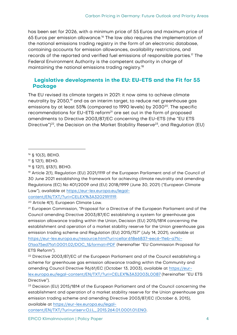has been set for 2026, with a minimum price of 55 Euros and maximum price of 65 Euros per emission allowance.<sup>16</sup> The law also requires the implementation of the national emissions trading registry in the form of an electronic database, containing accounts for emission allowances, availability restrictions, and records of the reported and verified fuel emissions of responsible parties.<sup>17</sup> The Federal Environment Authority is the competent authority in charge of maintaining the national emissions trading registry.<sup>18</sup>

# <span id="page-7-0"></span>**Legislative developments in the EU: EU-ETS and the Fit for 55 Package**

The EU revised its climate targets in 2021: it now aims to achieve climate neutrality by 2050,<sup>19</sup> and as an interim target, to reduce net greenhouse gas emissions by at least 55% (compared to 1990 levels) by 2030<sup>20</sup>. The specific recommendations for EU-ETS reform<sup>21</sup> are set out in the form of proposed amendments to Directive 2003/87/EC concerning the EU-ETS (the "EU ETS Directive")<sup>22</sup>, the Decision on the Market Stability Reserve<sup>23</sup>, and Regulation (EU)

<sup>20</sup> Article 4(1), European Climate Law.

<sup>21</sup> European Commission, "Proposal for a Directive of the European Parliament and of the Council amending Directive 2003/87/EC establishing a system for greenhouse gas emission allowance trading within the Union, Decision (EU) 2015/1814 concerning the establishment and operation of a market stability reserve for the Union greenhouse gas emission trading scheme and Regulation (EU) 2015/757" (July 14, 2021), available at [https://eur-lex.europa.eu/resource.html?uri=cellar:618e6837-eec6-11eb-a71c-](https://eur-lex.europa.eu/resource.html?uri=cellar:618e6837-eec6-11eb-a71c-01aa75ed71a1.0001.02/DOC_1&format=PDF)[01aa75ed71a1.0001.02/DOC\\_1&format=PDF](https://eur-lex.europa.eu/resource.html?uri=cellar:618e6837-eec6-11eb-a71c-01aa75ed71a1.0001.02/DOC_1&format=PDF) (hereinafter "EU Commission Proposal for ETS Reform").

[content/EN/TXT/?uri=uriserv:OJ.L\\_.2015.264.01.0001.01.ENG.](https://eur-lex.europa.eu/legal-content/EN/TXT/?uri=uriserv:OJ.L_.2015.264.01.0001.01.ENG)

<sup>16</sup> § 10(3), BEHG.

<sup>17</sup> § 12(1), BEHG.

<sup>18</sup> § 12(1), §13(1), BEHG.

<sup>19</sup> Article 2(1), Regulation (EU) 2021/1119 of the European Parliament and of the Council of 30 June 2021 establishing the framework for achieving climate neutrality and amending Regulations (EC) No 401/2009 and (EU) 2018/1999 (June 30, 2021) ("European Climate Law"), available at [https://eur-lex.europa.eu/legal](https://eur-lex.europa.eu/legal-content/EN/TXT/?uri=CELEX%3A32021R1119)[content/EN/TXT/?uri=CELEX%3A32021R1119.](https://eur-lex.europa.eu/legal-content/EN/TXT/?uri=CELEX%3A32021R1119)

<sup>&</sup>lt;sup>22</sup> Directive 2003/87/EC of the European Parliament and of the Council establishing a scheme for greenhouse gas emission allowance trading within the Community and amending Council Directive 96/61/EC (October 13, 2003), available at [https://eur](https://eur-lex.europa.eu/legal-content/EN/TXT/?uri=CELEX%3A32003L0087)[lex.europa.eu/legal-content/EN/TXT/?uri=CELEX%3A32003L0087](https://eur-lex.europa.eu/legal-content/EN/TXT/?uri=CELEX%3A32003L0087) (hereinafter "EU ETS Directive").

<sup>&</sup>lt;sup>23</sup> Decision (EU) 2015/1814 of the European Parliament and of the Council concerning the establishment and operation of a market stability reserve for the Union greenhouse gas emission trading scheme and amending Directive 2003/87/EC (October 6, 2015), available at [https://eur-lex.europa.eu/legal-](https://eur-lex.europa.eu/legal-content/EN/TXT/?uri=uriserv:OJ.L_.2015.264.01.0001.01.ENG)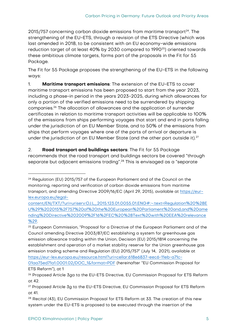$2015/757$  concerning carbon dioxide emissions from maritime transport<sup>24</sup>. The strengthening of the EU-ETS, through a revision of the ETS Directive (which was last amended in 2018, to be consistent with an EU economy-wide emissions reduction target of at least 40% by 2030 compared to 1990<sup>25</sup>) oriented towards these ambitious climate targets, forms part of the proposals in the Fit for 55 Package.

The Fit for 55 Package proposes the strengthening of the EU-ETS in the following ways:

1. **Maritime transport emissions**: The extension of the EU-ETS to cover maritime transport emissions has been proposed to start from the year 2023, including a phase-in period in the years 2023-2025, during which allowances for only a portion of the verified emissions need to be surrendered by shipping companies.<sup>26</sup> The allocation of allowances and the application of surrender certificates in relation to maritime transport activities will be applicable to 100% of the emissions from ships performing voyages that start and end in ports falling under the jurisdiction of an EU Member State, and to 50% of the emissions from ships that perform voyages where one of the ports of arrival or departure is under the jurisdiction of an EU Member State (and the other port outside it).<sup>27</sup>

2. **Road transport and buildings sectors**: The Fit for 55 Package recommends that the road transport and buildings sectors be covered "through separate but adjacent emissions trading".<sup>28</sup> This is envisaged as a "separate"

<sup>&</sup>lt;sup>24</sup> Regulation (EU) 2015/757 of the European Parliament and of the Council on the monitoring, reporting and verification of carbon dioxide emissions from maritime transport, and amending Directive 2009/16/EC (April 29, 2015), available at [https://eur](https://eur-lex.europa.eu/legal-content/EN/TXT/?uri=uriserv:OJ.L_.2015.123.01.0055.01.ENG#:~:text=Regulation%20%28EU%29%202015%2F757%20of%20the%20European%20Parliament%20and,and%20amending%20Directive%202009%2F16%2FEC%20%28Text%20with%20EEA%20relevance%29)[lex.europa.eu/legal-](https://eur-lex.europa.eu/legal-content/EN/TXT/?uri=uriserv:OJ.L_.2015.123.01.0055.01.ENG#:~:text=Regulation%20%28EU%29%202015%2F757%20of%20the%20European%20Parliament%20and,and%20amending%20Directive%202009%2F16%2FEC%20%28Text%20with%20EEA%20relevance%29)

[content/EN/TXT/?uri=uriserv:OJ.L\\_.2015.123.01.0055.01.ENG#:~:text=Regulation%20%28E](https://eur-lex.europa.eu/legal-content/EN/TXT/?uri=uriserv:OJ.L_.2015.123.01.0055.01.ENG#:~:text=Regulation%20%28EU%29%202015%2F757%20of%20the%20European%20Parliament%20and,and%20amending%20Directive%202009%2F16%2FEC%20%28Text%20with%20EEA%20relevance%29) [U%29%202015%2F757%20of%20the%20European%20Parliament%20and,and%20ame](https://eur-lex.europa.eu/legal-content/EN/TXT/?uri=uriserv:OJ.L_.2015.123.01.0055.01.ENG#:~:text=Regulation%20%28EU%29%202015%2F757%20of%20the%20European%20Parliament%20and,and%20amending%20Directive%202009%2F16%2FEC%20%28Text%20with%20EEA%20relevance%29) [nding%20Directive%202009%2F16%2FEC%20%28Text%20with%20EEA%20relevance](https://eur-lex.europa.eu/legal-content/EN/TXT/?uri=uriserv:OJ.L_.2015.123.01.0055.01.ENG#:~:text=Regulation%20%28EU%29%202015%2F757%20of%20the%20European%20Parliament%20and,and%20amending%20Directive%202009%2F16%2FEC%20%28Text%20with%20EEA%20relevance%29) [%29.](https://eur-lex.europa.eu/legal-content/EN/TXT/?uri=uriserv:OJ.L_.2015.123.01.0055.01.ENG#:~:text=Regulation%20%28EU%29%202015%2F757%20of%20the%20European%20Parliament%20and,and%20amending%20Directive%202009%2F16%2FEC%20%28Text%20with%20EEA%20relevance%29)

<sup>&</sup>lt;sup>25</sup> European Commission, "Proposal for a Directive of the European Parliament and of the Council amending Directive 2003/87/EC establishing a system for greenhouse gas emission allowance trading within the Union, Decision (EU) 2015/1814 concerning the establishment and operation of a market stability reserve for the Union greenhouse gas emission trading scheme and Regulation (EU) 2015/757" (July 14, 2021), available at [https://eur-lex.europa.eu/resource.html?uri=cellar:618e6837-eec6-11eb-a71c-](https://eur-lex.europa.eu/resource.html?uri=cellar:618e6837-eec6-11eb-a71c-01aa75ed71a1.0001.02/DOC_1&format=PDF)

[<sup>01</sup>aa75ed71a1.0001.02/DOC\\_1&format=PDF](https://eur-lex.europa.eu/resource.html?uri=cellar:618e6837-eec6-11eb-a71c-01aa75ed71a1.0001.02/DOC_1&format=PDF) (hereinafter "EU Commission Proposal for ETS Reform"), at 1

<sup>26</sup> Proposed Article 3ga to the EU-ETS Directive, EU Commission Proposal for ETS Reform at 42.

<sup>27</sup> Proposed Article 3g to the EU-ETS Directive, EU Commission Proposal for ETS Reform at 41.

<sup>&</sup>lt;sup>28</sup> Recital (43), EU Commission Proposal for ETS Reform at 33. The creation of this new system under the EU-ETS is proposed to be executed through the insertion of the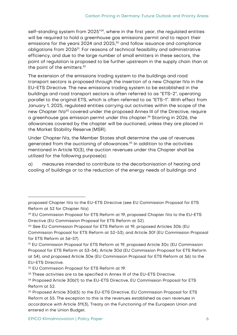self-standing system from 2025"<sup>29</sup>, where in the first year, the regulated entities will be required to hold a greenhouse gas emissions permit and to report their emissions for the years 2024 and 2025, <sup>30</sup> and follow issuance and compliance obligations from 2026<sup>31</sup>. For reasons of technical feasibility and administrative efficiency, and due to the large number of small emitters in these sectors, the point of regulation is proposed to be further upstream in the supply chain than at the point of the emitters.<sup>32</sup>

The extension of the emissions trading system to the buildings and road transport sectors is proposed through the insertion of a new Chapter IVa in the EU-ETS Directive. The new emissions trading system to be established in the buildings and road transport sectors is often referred to as "ETS-2", operating parallel to the original ETS, which is often referred to as "ETS-1". With effect from January 1, 2025, regulated entities carrying out activities within the scope of the new Chapter IVa<sup>33</sup> covered under the proposed Annex III of the Directive, require a greenhouse gas emission permit under this chapter.<sup>34</sup> Starting in 2026, the allowances covered by the chapter will be auctioned, unless they are placed in the Market Stability Reserve (MSR).

Under Chapter IVa, the Member States shall determine the use of revenues generated from the auctioning of allowances.<sup>35</sup> In addition to the activities mentioned in Article 10(3), the auction revenues under this Chapter shall be utilized for the following purpose(s):

a) measures intended to contribute to the decarbonisation of heating and cooling of buildings or to the reduction of the energy needs of buildings and

proposed Chapter IVa to the EU-ETS Directive (see EU Commission Proposal for ETS Reform at 52 for Chapter IVa).

<sup>29</sup> EU Commission Proposal for ETS Reform at 19, proposed Chapter IVa to the EU-ETS Directive (EU Commission Proposal for ETS Reform at 52).

<sup>&</sup>lt;sup>30</sup> See EU Commission Proposal for ETS Reform at 19, proposed Articles 30b (EU Commission Proposal for ETS Reform at 52-53), and Article 30f (EU Commission Proposal for ETS Reform at 56-57).

<sup>31</sup> EU Commission Proposal for ETS Reform at 19, proposed Article 30c (EU Commission Proposal for ETS Reform at 53-54), Article 30d (EU Commission Proposal for ETS Reform at 54), and proposed Article 30e (EU Commission Proposal for ETS Reform at 56) to the EU-ETS Directive.

<sup>32</sup> EU Commission Proposal for ETS Reform at 19.

<sup>&</sup>lt;sup>33</sup> These activities are to be specified in Annex III of the EU-ETS Directive.

<sup>34</sup> Proposed Article 30b(1) to the EU-ETS Directive, EU Commission Proposal for ETS Reform at 52.

<sup>35</sup> Proposed Article 30d(5) to the EU-ETS Directive, EU Commission Proposal for ETS Reform at 55. The exception to this is the revenues established as own revenues in accordance with Article 311(3), Treaty on the Functioning of the European Union and entered in the Union Budget.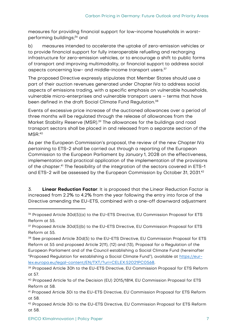measures for providing financial support for low-income households in worstperforming buildings; <sup>36</sup> and

b) measures intended to accelerate the uptake of zero-emission vehicles or to provide financial support for fully interoperable refuelling and recharging infrastructure for zero-emission vehicles, or to encourage a shift to public forms of transport and improving multimodality, or financial support to address social aspects concerning low- and middle-income transport users.<sup>37</sup>

The proposed Directive expressly stipulates that Member States should use a part of their auction revenues generated under Chapter IVa to address social aspects of emissions trading, with a specific emphasis on vulnerable households, vulnerable micro-enterprises and vulnerable transport users – terms that have been defined in the draft Social Climate Fund Regulation.<sup>38</sup>

Events of excessive price increase of the auctioned allowances over a period of three months will be regulated through the release of allowances from the Market Stability Reserve (MSR).<sup>39</sup> The allowances for the buildings and road transport sectors shall be placed in and released from a separate section of the  $MSR<sup>40</sup>$ 

As per the European Commission's proposal, the review of the new Chapter IVa pertaining to ETS-2 shall be carried out through a reporting of the European Commission to the European Parliament by January 1, 2028 on the effectiveness, implementation and practical application of the implementation of the provisions of the chapter.<sup>41</sup> The feasibility of the integration of the sectors covered in ETS-1 and ETS-2 will be assessed by the European Commission by October 31, 2031. 42

3. **Linear Reduction Factor**: It is proposed that the Linear Reduction Factor is increased from 2.2% to 4.2% from the year following the entry into force of the Directive amending the EU-ETS, combined with a one-off downward adjustment

<sup>36</sup> Proposed Article 30d(5)(a) to the EU-ETS Directive, EU Commission Proposal for ETS Reform at 55.

<sup>37</sup> Proposed Article 30d(5)(b) to the EU-ETS Directive, EU Commission Proposal for ETS Reform at 55.

<sup>38</sup> See proposed Article 30d(5) to the EU-ETS Directive, EU Commission Proposal for ETS Reform at 55 and proposed Article 2(11), (12) and (13), Proposal for a Regulation of the European Parliament and of the Council establishing a Social Climate Fund (hereinafter "Proposed Regulation for establishing a Social Climate Fund"), available at [https://eur](https://eur-lex.europa.eu/legal-content/EN/TXT/?uri=CELEX:52021PC0568)[lex.europa.eu/legal-content/EN/TXT/?uri=CELEX:52021PC0568.](https://eur-lex.europa.eu/legal-content/EN/TXT/?uri=CELEX:52021PC0568)

<sup>39</sup> Proposed Article 30h to the EU-ETS Directive, EU Commission Proposal for ETS Reform at 57.

<sup>40</sup> Proposed Article 1a of the Decision (EU) 2015/1814, EU Commission Proposal for ETS Reform at 58.

<sup>41</sup> Proposed Article 30i to the EU-ETS Directive, EU Commission Proposal for ETS Reform at 58.

<sup>42</sup> Proposed Article 30i to the EU-ETS Directive, EU Commission Proposal for ETS Reform at 58.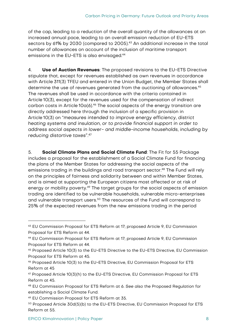of the cap, leading to a reduction of the overall quantity of the allowances at an increased annual pace, leading to an overall emission reduction of EU-ETS sectors by 61% by 2030 (compared to 2005). <sup>43</sup> An additional increase in the total number of allowances on account of the inclusion of maritime transport emissions in the EU-ETS is also envisaged.<sup>44</sup>

4. **Use of Auction Revenues**: The proposed revisions to the EU-ETS Directive stipulate that, except for revenues established as own revenues in accordance with Article 311(3) TFEU and entered in the Union Budget, the Member States shall determine the use of revenues generated from the auctioning of allowances.<sup>45</sup> The revenues shall be used in accordance with the criteria contained in Article 10(3), except for the revenues used for the compensation of indirect carbon costs in Article 10a(6).<sup>46</sup> The social aspects of the energy transition are directly addressed here through the inclusion of a specific provision in Article 10(3) on "measures intended to improve energy efficiency, district heating systems and insulation, or to provide financial support in order to address social aspects in lower- and middle-income households, including by reducing distortive taxes".<sup>47</sup>

5. **Social Climate Plans and Social Climate Fund**: The Fit for 55 Package includes a proposal for the establishment of a Social Climate Fund for financing the plans of the Member States for addressing the social aspects of the emissions trading in the buildings and road transport sector.<sup>48</sup> The Fund will rely on the principles of fairness and solidarity between and within Member States, and is aimed at supporting the European citizens most affected or at risk of energy or mobility poverty.<sup>49</sup> The target groups for the social aspects of emission trading are identified to be vulnerable households, vulnerable micro-enterprises and vulnerable transport users.<sup>50</sup> The resources of the Fund will correspond to 25% of the expected revenues from the new emissions trading in the period

<sup>43</sup> EU Commission Proposal for ETS Reform at 17; proposed Article 9, EU Commission Proposal for ETS Reform at 44.

<sup>44</sup> EU Commission Proposal for ETS Reform at 17; proposed Article 9, EU Commission Proposal for ETS Reform at 44.

<sup>45</sup> Proposed Article 10(3) to the EU-ETS Directive to the EU-ETS Directive, EU Commission Proposal for ETS Reform at 45.

<sup>46</sup> Proposed Article 10(3) to the EU-ETS Directive, EU Commission Proposal for ETS Reform at 45

<sup>47</sup> Proposed Article 10(3)(h) to the EU-ETS Directive, EU Commission Proposal for ETS Reform at 45.

<sup>48</sup> EU Commission Proposal for ETS Reform at 6. See also the Proposed Regulation for establishing a Social Climate Fund.

<sup>49</sup> EU Commission Proposal for ETS Reform at 35.

<sup>50</sup> Proposed Article 30d(5)(b) to the EU-ETS Directive, EU Commission Proposal for ETS Reform at 55.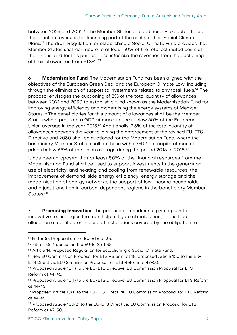between 2026 and 2032.<sup>51</sup> The Member States are additionally expected to use their auction revenues for financing part of the costs of their Social Climate Plans.<sup>52</sup> The draft Regulation for establishing a Social Climate Fund provides that Member States shall contribute to at least 50% of the total estimated costs of their Plans, and for this purpose, use inter alia the revenues from the auctioning of their allowances from ETS-2. 53

6. **Modernisation Fund**: The Modernisation Fund has been aligned with the objectives of the European Green Deal and the European Climate Law, including through the elimination of support to investments related to any fossil fuels.<sup>54</sup> The proposal envisages the auctioning of 2% of the total quantity of allowances between 2021 and 2030 to establish a fund known as the Modernisation Fund for improving energy efficiency and modernising the energy systems of Member States.<sup>55</sup> The beneficiaries for this amount of allowances shall be the Member States with a per-capita GDP at market prices below 60% of the European Union average in the year 2013.<sup>56</sup> Additionally, 2.5% of the total quantity of allowances between the year following the enforcement of the revised EU-ETS Directive and 2030 shall be auctioned for the Modernisation Fund, where the beneficiary Member States shall be those with a GDP per capita at market prices below 65% of the Union average during the period 2016 to 2018.<sup>57</sup>

It has been proposed that at least 80% of the financial resources from the Modernisation Fund shall be used to support investments in the generation, use of electricity, and heating and cooling from renewable resources, the improvement of demand-side energy efficiency, energy storage and the modernisation of energy networks, the support of low-income households, and a just transition in carbon-dependent regions in the beneficiary Member States.<sup>58</sup>

7. **Promoting Innovation**: The proposed amendments give a push to innovative technologies that can help mitigate climate change. The free allocation of certificates in case of installations covered by the obligation to

<sup>51</sup> Fit for 55 Proposal on the EU-ETS at 35.

<sup>52</sup> Fit for 55 Proposal on the EU-ETS at 35.

<sup>53</sup> Article 14, Proposed Regulation for establishing a Social Climate Fund.

<sup>54</sup> See EU Commission Proposal for ETS Reform at 18; proposed Article 10d to the EU-ETS Directive, EU Commission Proposal for ETS Reform at 49-50.

<sup>55</sup> Proposed Article 10(1) to the EU-ETS Directive, EU Commission Proposal for ETS Reform at 44-45.

<sup>56</sup> Proposed Article 10(1) to the EU-ETS Directive, EU Commission Proposal for ETS Reform at 44-45.

<sup>57</sup> Proposed Article 10(1) to the EU-ETS Directive, EU Commission Proposal for ETS Reform at 44-45.

<sup>58</sup> Proposed Article 10d(2) to the EU-ETS Directive, EU Commission Proposal for ETS Reform at 49-50.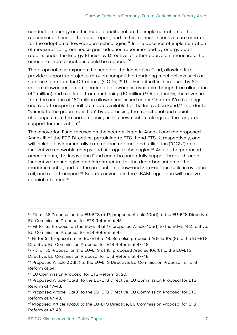conduct an energy audit is made conditional on the implementation of the recommendations of the audit report, and in this manner, incentives are created for the adoption of low-carbon technologies.<sup>59</sup> In the absence of implementation of measures for greenhouse gas reduction recommended by energy audit reports under the Energy Efficiency Directive, or other equivalent measures, the amount of free allocations could be reduced. 60

The proposal also expands the scope of the Innovation Fund, allowing it to provide support to projects through competitive tendering mechanisms such as Carbon Contracts for Difference (CCDs). <sup>61</sup> The Fund itself is increased by 50 million allowances, a combination of allowances available through free allocation (40 million) and available from auctioning (10 million). <sup>62</sup> Additionally, the revenue from the auction of 150 million allowances issued under Chapter IVa (buildings and road transport) shall be made available for the Innovation Fund, <sup>63</sup> in order to "stimulate the green transition" by addressing the transitional and social challenges from the carbon pricing in the new sectors alongside the targeted support for innovation<sup>64</sup>.

The Innovation Fund focuses on the sectors listed in Annex I and the proposed Annex III of the ETS Directive, pertaining to ETS-1 and ETS-2, respectively, and will include environmentally safe carbon capture and utilisation ("CCU") and innovative renewable energy and storage technologies. <sup>65</sup> As per the proposed amendments, the Innovation Fund can also potentially support break-through innovative technologies and infrastructure for the decarbonisation of the maritime sector, and for the production of low-and zero-carbon fuels in aviation, rail, and road transport. <sup>66</sup> Sectors covered in the CBAM regulation will receive special attention.<sup>67</sup>

<sup>&</sup>lt;sup>59</sup> Fit for 55 Proposal on the EU-ETS at 17; proposed Article 10a(1) to the EU-ETS Directive, EU Commission Proposal for ETS Reform at 45.

 $60$  Fit for 55 Proposal on the EU-ETS at 17; proposed Article 10a(1) to the EU-ETS Directive, EU Commission Proposal for ETS Reform at 45.

 $61$  Fit for 55 Proposal on the EU-ETS at 18. See also proposed Article  $10a(8)$  to the EU-ETS Directive, EU Commission Proposal for ETS Reform at 47-48.

 $62$  Fit for 55 Proposal on the EU-ETS at 18; proposed Articles  $10a(8)$  to the EU-ETS Directive, EU Commission Proposal for ETS Reform at 47-48.

<sup>63</sup> Proposed Article 30d(3) to the EU-ETS Directive, EU Commission Proposal for ETS Reform at 54.

<sup>64</sup> EU Commission Proposal for ETS Reform at 20.

<sup>65</sup> Proposed Article 10a(8) to the EU-ETS Directive, EU Commission Proposal for ETS Reform at 47-48.

<sup>66</sup> Proposed Article 10a(8) to the EU-ETS Directive, EU Commission Proposal for ETS Reform at 47-48.

 $67$  Proposed Article 10a(8) to the EU-ETS Directive, EU Commission Proposal for ETS Reform at 47-48.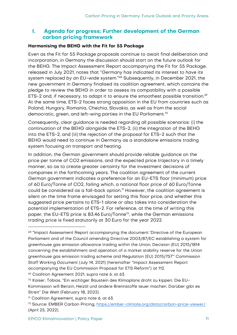# <span id="page-14-0"></span>**I. Agenda for progress: Further development of the German carbon pricing framework**

#### <span id="page-14-1"></span>**Harmonising the BEHG with the Fit for 55 Package**

Even as the Fit for 55 Package proposals continue to await final deliberation and incorporation, in Germany the discussion should start on the future outlook for the BEHG. The Impact Assessment Report accompanying the Fit for 55 Package, released in July 2021, notes that "Germany has indicated its interest to have its system replaced by an EU-wide system." <sup>68</sup> Subsequently, in December 2021, the new government in Germany finalised its coalition agreement, which contains the pledge to review the BEHG in order to assess its compatibility with a possible ETS-2 and, if necessary, to adapt it to ensure the smoothest possible transition.<sup>69</sup> At the same time, ETS-2 faces strong opposition in the EU from countries such as Poland, Hungary, Romania, Chechia, Slovakia, as well as from the social democratic, green, and left-wing parties in the EU Parliament.<sup>70</sup>

Consequently, clear guidance is needed regarding all possible scenarios: (i) the continuation of the BEHG alongside the ETS-2, (ii) the integration of the BEHG into the ETS-2, and (iii) the rejection of the proposal for ETS-2 such that the BEHG would need to continue in Germany as a standalone emissions trading system focusing on transport and heating.

In addition, the German government should provide reliable guidance on the price per tonne of CO2 emissions, and the expected price trajectory in a timely manner, so as to create greater certainty for the investment decisions of companies in the forthcoming years. The coalition agreement of the current German government indicates a preference for an EU-ETS floor (minimum) price of 60 Euro/Tonne of CO2, failing which, a national floor price of 60 Euro/Tonne could be considered as a fall-back option. <sup>71</sup> However, the coalition agreement is silent on the time frame envisaged for setting this floor price, and whether this suggested price pertains to ETS-1 alone or also takes into consideration the potential implementation of ETS-2. For reference, at the time of writing this paper, the EU-ETS price is 83.46 Euro/Tonne<sup>72</sup>, while the German emissions trading price is fixed statutorily at 30 Euro for the year 2022.

<sup>69</sup> Coalition Agreement 2021, supra note 6, at 63.

<sup>68</sup> "Impact Assessment Report accompanying the document 'Directive of the European Parliament and of the Council amending Directive 2003/87/EC establishing a system for greenhouse gas emission allowance trading within the Union, Decision (EU) 2015/1814 concerning the establishment and operation of a market stability reserve for the Union greenhouse gas emission trading scheme and Regulation (EU) 2015/757'" Commission Staff Working Document (July 14, 2021) (hereinafter "Impact Assessment Report accompanying the EU Commission Proposal for ETS Reform") at 112.

<sup>70</sup> Kaiser, Tobias, "Ein wichtiger Baustein des Klimaplans droht zu kippen: Die EU-Kommission will Benzin, Heizöl und andere Brennstoffe teuer machen. Darüber gibt es Streit" Die Welt (February 18, 2022).

<sup>71</sup> Coalition Agreement, supra note 6, at 63.

<sup>72</sup> Source: EMBER Carbon Pricing, <https://ember-climate.org/data/carbon-price-viewer/> (April 25, 2022).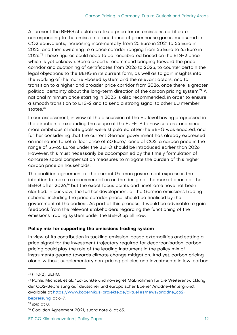At present the BEHG stipulates a fixed price for an emissions certificate corresponding to the emission of one tonne of greenhouse gases, measured in CO2 equivalents, increasing incrementally from 25 Euro in 2021 to 55 Euro in 2025, and then switching to a price corridor ranging from 55 Euro to 65 Euro in 2026. <sup>73</sup> These figures could need to be recalibrated based on the ETS-2 price, which is yet unknown. Some experts recommend bringing forward the price corridor and auctioning of certificates from 2026 to 2023, to counter certain the legal objections to the BEHG in its current form, as well as to gain insights into the working of the market-based system and the relevant actors, and to transition to a higher and broader price corridor from 2026, once there is greater political certainty about the long-term direction of the carbon pricing system. <sup>74</sup> A national minimum price starting in 2025 is also recommended, in order to ensure a smooth transition to ETS-2 and to send a strong signal to other EU member states. 75

In our assessment, in view of the discussion at the EU level having progressed in the direction of expanding the scope of the EU-ETS to new sectors, and since more ambitious climate goals were stipulated after the BEHG was enacted, and further considering that the current German government has already expressed an inclination to set a floor price of 60 Euro/Tonne of CO2, a carbon price in the range of 55-65 Euros under the BEHG should be introduced earlier than 2026. However, this must necessarily be accompanied by the timely formulation of concrete social compensation measures to mitigate the burden of this higher carbon price on households.

The coalition agreement of the current German government expresses the intention to make a recommendation on the design of the market phase of the BEHG after 2026,<sup>76</sup> but the exact focus points and timeframe have not been clarified. In our view, the further development of the German emissions trading scheme, including the price corridor phase, should be finalised by the government at the earliest. As part of this process, it would be advisable to gain feedback from the relevant stakeholders regarding the functioning of the emissions trading system under the BEHG up till now.

#### <span id="page-15-0"></span>**Policy mix for supporting the emissions trading system**

In view of its contribution in tackling emission-based externalities and setting a price signal for the investment trajectory required for decarbonisation, carbon pricing could play the role of the leading instrument in the policy mix of instruments geared towards climate change mitigation. And yet, carbon pricing alone, without supplementary non-pricing policies and investments in low-carbon

<sup>73</sup> § 10(2), BEHG.

<sup>74</sup> Pahle, Michael, et al., "Eckpunkte und no-regret Maßnahmen für die Weiterentwicklung der CO2-Bepreisung auf deutscher und europäischer Ebene" Ariadne-Hintergrund, available at [https://www.kopernikus-projekte.de/aktuelles/news/ariadne\\_co2](https://www.kopernikus-projekte.de/aktuelles/news/ariadne_co2-bepreisung) [bepreisung,](https://www.kopernikus-projekte.de/aktuelles/news/ariadne_co2-bepreisung) at 6-7.

<sup>75</sup> Ibid at 8.

<sup>76</sup> Coalition Agreement 2021, supra note 6, at 63.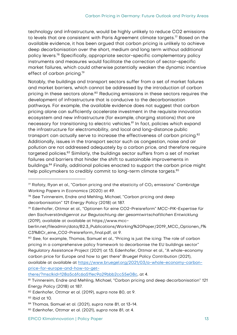technology and infrastructure, would be highly unlikely to reduce CO2 emissions to levels that are consistent with Paris Agreement climate targets.<sup>77</sup> Based on the available evidence, it has been argued that carbon pricing is unlikely to achieve deep decarbonisation over the short, medium and long term without additional policy levers.<sup>78</sup> Specifically, appropriate sector-specific complementary policy instruments and measures would facilitate the correction of sector-specific market failures, which could otherwise potentially weaken the dynamic incentive effect of carbon pricing.<sup>79</sup>

Notably, the buildings and transport sectors suffer from a set of market failures and market barriers, which cannot be addressed by the introduction of carbon pricing in these sectors alone.<sup>80</sup> Reducing emissions in these sectors requires the development of infrastructure that is conducive to the decarbonisation pathways. For example, the available evidence does not suggest that carbon pricing alone can sufficiently accelerate investment in the requisite innovation ecosystem and new infrastructure (for example, charging stations) that are necessary for transitioning to electric vehicles.<sup>81</sup> In fact, policies which expand the infrastructure for electromobility, and local and long-distance public transport can actually serve to increase the effectiveness of carbon pricing.<sup>82</sup> Additionally, issues in the transport sector such as congestion, noise and air pollution are not addressed adequately by a carbon price, and therefore require targeted policies.<sup>83</sup> Similarly, the buildings sector suffers from a set of market failures and barriers that hinder the shift to sustainable improvements in buildings. <sup>84</sup> Finally, additional policies enacted to support the carbon price might help policymakers to credibly commit to long-term climate targets.<sup>85</sup>

[there/?msclkid=128a5c6fc6a511ec9a29bbb2cc55e08c,](https://www.bruegel.org/2021/03/a-whole-economy-carbon-price-for-europe-and-how-to-get-there/?msclkid=128a5c6fc6a511ec9a29bbb2cc55e08c) at 4.

 $77$  Rafaty, Ryan et al., "Carbon pricing and the elasticity of  $CO<sub>2</sub>$  emissions" Cambridge Working Papers in Economics (2020) at 49.

<sup>78</sup> See Tvinnereim, Endre and Mehling, Michael, "Carbon pricing and deep decarbonisation" 121 Energy Policy (2018) at 187.

<sup>79</sup> Edenhofer, Ottmar et al., "Optionen für eine CO2-Preisreform" MCC-PIK-Expertise für den Sachverständigenrat zur Begutachtung der gesamtwirtschaftlichen Entwicklung (2019), available at available at https://www.mcc-

berlin.net/fileadmin/data/B2.3\_Publications/Working%20Paper/2019\_MCC\_Optionen\_f% C3%BCr\_eine\_CO2-Preisreform\_final.pdf, at 9.

<sup>80</sup> See, for example, Thomas, Samuel et al., "Pricing is just the icing: The role of carbon pricing in a comprehensive policy framework to decarbonise the EU buildings sector" Regulatory Assistance Project (2021) at 13; Edenhofer, Ottmar et al., "A whole-economy carbon price for Europe and how to get there" Bruegel Policy Contribution (2021), available at available at [https://www.bruegel.org/2021/03/a-whole-economy-carbon](https://www.bruegel.org/2021/03/a-whole-economy-carbon-price-for-europe-and-how-to-get-there/?msclkid=128a5c6fc6a511ec9a29bbb2cc55e08c)[price-for-europe-and-how-to-get-](https://www.bruegel.org/2021/03/a-whole-economy-carbon-price-for-europe-and-how-to-get-there/?msclkid=128a5c6fc6a511ec9a29bbb2cc55e08c)

<sup>81</sup> Tvinnereim, Endre and Mehling, Michael, "Carbon pricing and deep decarbonisation" 121 Energy Policy (2018) at 187.

<sup>82</sup> Edenhofer, Ottmar et al. (2019), supra note 80, at 9.

<sup>83</sup> Ibid at 10.

<sup>84</sup> Thomas, Samuel et al. (2021), supra note 81, at 13-14.

<sup>85</sup> Edenhofer, Ottmar et al. (2021), supra note 81, at 4.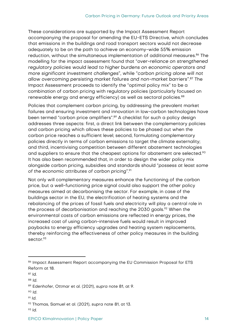These considerations are supported by the Impact Assessment Report accompanying the proposal for amending the EU-ETS Directive, which concludes that emissions in the buildings and road transport sectors would not decrease adequately to be on the path to achieve an economy-wide 55% emission reduction, without the simultaneous implementation of additional measures.<sup>86</sup> The modelling for the impact assessment found that "over-reliance on strengthened regulatory policies would lead to higher burdens on economic operators and more significant investment challenges", while "carbon pricing alone will not allow overcoming persisting market failures and non-market barriers".<sup>87</sup> The Impact Assessment proceeds to identify the "optimal policy mix" to be a combination of carbon pricing with regulatory policies (particularly focused on renewable energy and energy efficiency) as well as sectoral policies.<sup>88</sup>

Policies that complement carbon pricing, by addressing the prevalent market failures and ensuring investment and innovation in low-carbon technologies have been termed "carbon price amplifiers".<sup>89</sup> A checklist for such a policy design addresses three aspects: first, a direct link between the complementary policies and carbon pricing which allows these policies to be phased out when the carbon price reaches a sufficient level; second, formulating complementary policies directly in terms of carbon emissions to target the climate externality; and third, incentivising competition between different abatement technologies and suppliers to ensure that the cheapest options for abatement are selected.<sup>90</sup> It has also been recommended that, in order to design the wider policy mix alongside carbon pricing, subsidies and standards should "possess at least some of the economic attributes of carbon pricing".<sup>91</sup>

Not only will complementary measures enhance the functioning of the carbon price, but a well-functioning price signal could also support the other policy measures aimed at decarbonising the sector. For example, in case of the buildings sector in the EU, the electrification of heating systems and the rebalancing of the prices of fossil fuels and electricity will play a central role in the process of decarbonisation and reaching the 2030 goals.<sup>92</sup> When the environmental costs of carbon emissions are reflected in energy prices, the increased cost of using carbon-intensive fuels would result in improved paybacks to energy efficiency upgrades and heating system replacements, thereby reinforcing the effectiveness of other policy measures in the building sector<sup>93</sup>

 $91$  Id.

<sup>86</sup> Impact Assessment Report accompanying the EU Commission Proposal for ETS Reform at 18.

<sup>87</sup> Id.

<sup>88</sup> Id.

<sup>89</sup> Edenhofer, Ottmar et al. (2021), supra note 81, at 9.

<sup>90</sup> Id.

<sup>92</sup> Thomas, Samuel et al. (2021), supra note 81, at 13.

 $93$  Id.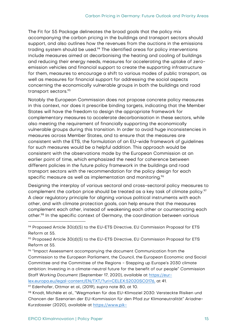The Fit for 55 Package delineates the broad goals that the policy mix accompanying the carbon pricing in the buildings and transport sectors should support, and also outlines how the revenues from the auctions in the emissions trading system should be used.<sup>94</sup> The identified areas for policy interventions include measures aimed at decarbonising the heating and cooling of buildings and reducing their energy needs, measures for accelerating the uptake of zeroemission vehicles and financial support to create the supporting infrastructure for them, measures to encourage a shift to various modes of public transport, as well as measures for financial support for addressing the social aspects concerning the economically vulnerable groups in both the buildings and road transport sectors.<sup>95</sup>

Notably the European Commission does not propose concrete policy measures in this context, nor does it prescribe binding targets, indicating that the Member States will have the freedom to design the appropriate framework for complementary measures to accelerate decarbonisation in these sectors, while also meeting the requirement of financially supporting the economically vulnerable groups during this transition. In order to avoid huge inconsistencies in measures across Member States, and to ensure that the measures are consistent with the ETS, the formulation of an EU-wide framework of guidelines for such measures would be a helpful addition. This approach would be consistent with the observations made by the European Commission at an earlier point of time, which emphasized the need for coherence between different policies in the future policy framework in the buildings and road transport sectors with the recommendation for the policy design for each specific measure as well as implementation and monitoring.<sup>96</sup>

Designing the interplay of various sectoral and cross-sectoral policy measures to complement the carbon price should be treated as a key task of climate policy.<sup>97</sup> A clear regulatory principle for aligning various political instruments with each other, and with climate protection goals, can help ensure that the measures complement each other, instead of weakening each other or counteracting each other.<sup>98</sup> In the specific context of Germany, the coordination between various

<sup>94</sup> Proposed Article 30(d)(5) to the EU-ETS Directive, EU Commission Proposal for ETS Reform at 55.

<sup>95</sup> Proposed Article 30(d)(5) to the EU-ETS Directive, EU Commission Proposal for ETS Reform at 55.

 $\%$  "Impact Assessment accompanying the document Communication from the Commission to the European Parliament, the Council, the European Economic and Social Committee and the Committee of the Regions - Stepping up Europe's 2030 climate ambition: Investing in a climate-neutral future for the benefit of our people" Commission Staff Working Document (September 17, 2020), available at [https://eur](https://eur-lex.europa.eu/legal-content/EN/TXT/?uri=CELEX:52020SC0176)[lex.europa.eu/legal-content/EN/TXT/?uri=CELEX:52020SC0176,](https://eur-lex.europa.eu/legal-content/EN/TXT/?uri=CELEX:52020SC0176) at 41.

<sup>97</sup> Edenhofer, Ottmar et al., (2019), supra note 80, at 10.

<sup>98</sup> Knodt, Michèle et al., "Wegmarken für das EU-Klimaziel 2030: Versteckte Risiken und Chancen der Szenarien der EU-Kommission für den Pfad zur Klimaneutralität" Ariadne-Kurzdossier (2020), available at [https://www.pik-](https://www.pik-potsdam.de/de/institut/abteilungen/transformationspfade/projekte/ariadne/kurzdossier_eu-klimaziel2030)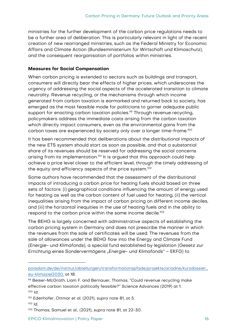ministries for the further development of the carbon price regulations needs to be a further area of deliberation. This is particularly relevant in light of the recent creation of new rearranged ministries, such as the Federal Ministry for Economic Affairs and Climate Action (Bundesministerium für Wirtschaft und Klimaschutz), and the consequent reorganisation of portfolios within ministries.

#### <span id="page-19-0"></span>**Measures for Social Compensation**

When carbon pricing is extended to sectors such as buildings and transport, consumers will directly bear the effects of higher prices, which underscores the urgency of addressing the social aspects of the accelerated transition to climate neutrality. Revenue recycling, or the mechanisms through which income generated from carbon taxation is earmarked and returned back to society, has emerged as the most feasible mode for politicians to garner adequate public support for enacting carbon taxation policies. <sup>99</sup> Through revenue recycling, policymakers address the immediate costs arising from the carbon taxation which directly impact consumers, even as the environmental gains from the carbon taxes are experienced by society only over a longer time-frame. $^{\rm 100}$ 

It has been recommended that deliberations about the distributional impacts of the new ETS system should start as soon as possible, and that a substantial share of its revenues should be reserved for addressing the social concerns arising from its implementation.<sup>101</sup> It is argued that this approach could help achieve a price level closer to the efficient level, through the timely addressing of the equity and efficiency aspects of the price system.<sup>102</sup>

Some authors have recommended that the assessment of the distributional impacts of introducing a carbon price for heating fuels should based on three sets of factors: (i) geographical conditions influencing the amount of energy used for heating as well as the carbon content of fuel used for heating, (ii) the vertical inequalities arising from the impact of carbon pricing on different income deciles, and (iii) the horizontal inequities in the use of heating fuels and in the ability to respond to the carbon price within the same income decile.<sup>103</sup>

The BEHG is largely concerned with administrative aspects of establishing the carbon pricing system in Germany and does not prescribe the manner in which the revenues from the sale of certificates will be used. The revenues from the sale of allowances under the BEHG flow into the Energy and Climate Fund (Energie- und Klimafonds), a special fund established by legislation (Gesetz zur Errichtung eines Sondervermögens "Energie- und Klimafonds" - EKFG) to

[potsdam.de/de/institut/abteilungen/transformationspfade/projekte/ariadne/kurzdossier\\_](https://www.pik-potsdam.de/de/institut/abteilungen/transformationspfade/projekte/ariadne/kurzdossier_eu-klimaziel2030) [eu-klimaziel2030,](https://www.pik-potsdam.de/de/institut/abteilungen/transformationspfade/projekte/ariadne/kurzdossier_eu-klimaziel2030) at 18.

<sup>99</sup> Beiser-McGrath, Liam F. and Bernauer, Thomas, "Could revenue recycling make effective carbon taxation politically feasible?" Science Advances (2019) at 1. <sup>100</sup> Id.

<sup>101</sup> Edenhofer, Ottmar et al. (2021), supra note 81, at 5.

<sup>102</sup> Id.

<sup>103</sup> Thomas, Samuel et al., (2021), supra note 81, at 22-30.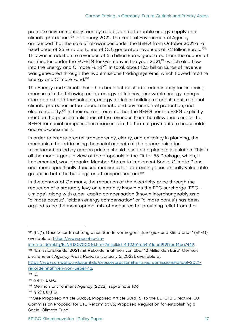promote environmentally friendly, reliable and affordable energy supply and climate protection.<sup>104</sup> In January 2022, the Federal Environmental Agency announced that the sale of allowances under the BEHG from October 2021 at a fixed price of 25 Euro per tonne of  $CO<sub>2</sub>$  generated revenues of 7.2 Billion Euros.<sup>105</sup> This was in addition to revenues of 5.3 billion Euros generated from the auction of certificates under the EU-ETS for Germany in the year 2021, <sup>106</sup> which also flow into the Energy and Climate Fund<sup>107</sup>. In total, about 12.5 billion Euros of revenue was generated through the two emissions trading systems, which flowed into the Energy and Climate Fund.<sup>108</sup>

The Energy and Climate Fund has been established predominantly for financing measures in the following areas: energy efficiency, renewable energy, energy storage and grid technologies, energy-efficient building refurbishment, regional climate protection, international climate and environmental protection, and electromobility.<sup>109</sup> In their current form, neither the BEHG nor the EKFG explicitly mention the possible utilisation of the revenues from the allowances under the BEHG for social compensation measures in the form of payments to households and end-consumers.

In order to create greater transparency, clarity, and certainty in planning, the mechanism for addressing the social aspects of the decarbonisation transformation led by carbon pricing should also find a place in legislation. This is all the more urgent in view of the proposals in the Fit for 55 Package, which, if implemented, would require Member States to implement Social Climate Plans and, more specifically, focused measures for addressing economically vulnerable groups in both the buildings and transport sectors.<sup>110</sup>

In the context of Germany, the reduction of the electricity price through the reduction of a statutory levy on electricity known as the EEG surcharge (EEG-Umlage), along with a per-capita compensation (known interchangeably as a "climate payout", "citizen energy compensation" or "climate bonus") has been argued to be the most optimal mix of measures for providing relief from the

Environment Agency Press Release (January 5, 2022), available at

<sup>104 § 2(1),</sup> Gesetz zur Errichtung eines Sondervermögens "Energie- und Klimafonds" (EKFG), available at [https://www.gesetze-im-](https://www.gesetze-im-internet.de/ekfg/BJNR180700010.html?msclkid=4ff23e1fc54c11eca9f9f7ee14ba7449)

[internet.de/ekfg/BJNR180700010.html?msclkid=4ff23e1fc54c11eca9f9f7ee14ba7449.](https://www.gesetze-im-internet.de/ekfg/BJNR180700010.html?msclkid=4ff23e1fc54c11eca9f9f7ee14ba7449) <sup>105</sup> "Emissionshandel 2021 mit Rekordeinnahmen von über 12 Milliarden Euro" German

[https://www.umweltbundesamt.de/presse/pressemitteilungen/emissionshandel-2021](https://www.umweltbundesamt.de/presse/pressemitteilungen/emissionshandel-2021-rekordeinnahmen-von-ueber-12) [rekordeinnahmen-von-ueber-12.](https://www.umweltbundesamt.de/presse/pressemitteilungen/emissionshandel-2021-rekordeinnahmen-von-ueber-12) 

<sup>106</sup> Id.

<sup>107</sup> § 4(1), EKFG

<sup>108</sup> German Environment Agency (2022), supra note 106.

<sup>109</sup> § 2(1), EKFG.

<sup>110</sup> See Proposed Article 30d(5), Proposed Article 30(d)(5) to the EU-ETS Directive, EU Commission Proposal for ETS Reform at 55; Proposed Regulation for establishing a Social Climate Fund.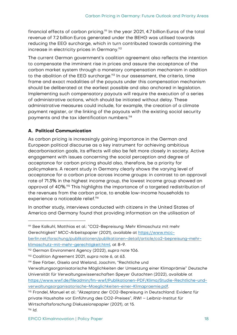financial effects of carbon pricing.<sup>111</sup> In the year 2021, 4.7 billion Euros of the total revenue of 7.2 billion Euros generated under the BEHG was utilised towards reducing the EEG surcharge, which in turn contributed towards containing the increase in electricity prices in Germany.<sup>112</sup>

The current German government's coalition agreement also reflects the intention to compensate the imminent rise in prices and assure the acceptance of the carbon market system through a monetary compensation mechanism in addition to the abolition of the EEG surcharge.<sup>113</sup> In our assessment, the criteria, time frame and exact modalities of the payouts under this compensation mechanism should be deliberated at the earliest possible and also anchored in legislation. Implementing such compensatory payouts will require the execution of a series of administrative actions, which should be initiated without delay. These administrative measures could include, for example, the creation of a climate payment register, or the linking of the payouts with the existing social security payments and the tax identification numbers.<sup>114</sup>

## <span id="page-21-0"></span>**A. Political Communication**

As carbon pricing is increasingly gaining importance in the German and European political discourse as a key instrument for achieving ambitious decarbonisation goals, its effects will also be felt more closely in society. Active engagement with issues concerning the social perception and degree of acceptance for carbon pricing should also, therefore, be a priority for policymakers. A recent study in Germany clearly shows the varying level of acceptance for a carbon price across income groups: in contrast to an approval rate of 71.3% in the highest income group, the lowest income group showed an approval of 40%.<sup>115</sup> This highlights the importance of a targeted redistribution of the revenues from the carbon price, to enable low-income households to experience a noticeable relief.<sup>116</sup>

In another study, interviews conducted with citizens in the United States of America and Germany found that providing information on the utilisation of

<sup>111</sup> See Kalkuhl, Matthias et al.: "CO2-Bepreisung: Mehr Klimaschutz mit mehr Gerechtigkeit" MCC-Arbeitspapier (2021), available at [https://www.mcc](https://www.mcc-berlin.net/forschung/publikationen/publikationen-detail/article/co2-bepreisung-mehr-klimaschutz-mit-mehr-gerechtigkeit.html)[berlin.net/forschung/publikationen/publikationen-detail/article/co2-bepreisung-mehr](https://www.mcc-berlin.net/forschung/publikationen/publikationen-detail/article/co2-bepreisung-mehr-klimaschutz-mit-mehr-gerechtigkeit.html)[klimaschutz-mit-mehr-gerechtigkeit.html,](https://www.mcc-berlin.net/forschung/publikationen/publikationen-detail/article/co2-bepreisung-mehr-klimaschutz-mit-mehr-gerechtigkeit.html) at 8-9.

<sup>112</sup> German Environment Agency (2022), supra note 106.

<sup>113</sup> Coalition Agreement 2021, supra note 6, at 63.

<sup>114</sup> See Färber, Gisela and Wieland, Joachim, "Rechtliche und

Verwaltungsorganisatorische Möglichkeiten der Umsetzung einer Klimaprämie" Deutsche Universität für Verwaltungswissenschaften Speyer Gutachten (2022), available at [https://www.wwf.de/fileadmin/fm-wwf/Publikationen-PDF/Klima/Studie-Rechtliche-und](https://www.wwf.de/fileadmin/fm-wwf/Publikationen-PDF/Klima/Studie-Rechtliche-und-verwaltungsorganisatorische-Moeglichkeiten-einer-Klimapraemie.pdf)[verwaltungsorganisatorische-Moeglichkeiten-einer-Klimapraemie.pdf.](https://www.wwf.de/fileadmin/fm-wwf/Publikationen-PDF/Klima/Studie-Rechtliche-und-verwaltungsorganisatorische-Moeglichkeiten-einer-Klimapraemie.pdf) 

<sup>115</sup> Frondel, Manuel et al.: "Akzeptanz der CO2-Bepreisung in Deutschland: Evidenz für private Haushalte vor Einführung des CO2-Preises", RWI – Leibniz-Institut für Wirtschaftsforschung Diskussionspapier (2021), at 15. <sup>116</sup> Id.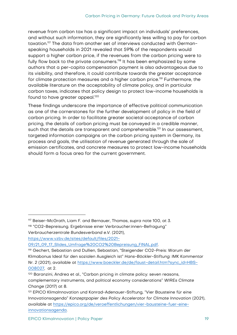revenue from carbon tax has a significant impact on individuals' preferences, and without such information, they are significantly less willing to pay for carbon taxation.<sup>117</sup> The data from another set of interviews conducted with Germanspeaking households in 2021 revealed that 59% of the respondents would support a higher carbon price, if the revenues from the carbon pricing were to fully flow back to the private consumers.<sup>118</sup> It has been emphasized by some authors that a per-capita compensation payment is also advantageous due to its visibility, and therefore, it could contribute towards the greater acceptance for climate protection measures and a higher carbon price.<sup>119</sup> Furthermore, the available literature on the acceptability of climate policy, and in particular carbon taxes, indicates that policy design to protect low-income households is found to have greater appeal. 120

These findings underscore the importance of effective political communication as one of the cornerstones for the further development of policy in the field of carbon pricing. In order to facilitate greater societal acceptance of carbon pricing, the details of carbon pricing must be conveyed in a credible manner, such that the details are transparent and comprehensible.<sup>121</sup> In our assessment, targeted information campaigns on the carbon pricing system in Germany, its process and goals, the utilisation of revenue generated through the sale of emission certificates, and concrete measures to protect low-income households should form a focus area for the current government.

<sup>117</sup> Beiser-McGrath, Liam F. and Bernauer, Thomas, supra note 100, at 3.

<sup>118</sup> "CO2-Bepreisung. Ergebnisse einer Verbraucher:innen-Befragung" Verbraucherzentrale Bundesverband e.V. (2021),

[https://www.vzbv.de/sites/default/files/2021-](https://www.vzbv.de/sites/default/files/2021-09/21_09_17_Slides_Umfrage%20CO2%20Bepreisung_FINAL.pdf)

<sup>09/21</sup>\_09\_17\_Slides\_Umfrage%20CO2%20Bepreisung\_FINAL.pdf.

<sup>119</sup> Gechert, Sebastian and Dullien, Sebastian, "Steigender CO2-Preis: Warum der Klimabonus Ideal für den sozialen Ausgleich ist" Hans-Böckler-Stiftung: IMK Kommentar Nr. 2 (2021), available at [https://www.boeckler.de/de/faust-detail.htm?sync\\_id=HBS-](https://www.boeckler.de/de/faust-detail.htm?sync_id=HBS-008027)[008027,](https://www.boeckler.de/de/faust-detail.htm?sync_id=HBS-008027) at 2.

<sup>120</sup> Baranzini, Andrea et al., "Carbon pricing in climate policy: seven reasons, complementary instruments, and political economy considerations" WIREs Climate Change (2017) at 8.

<sup>121</sup> EPICO KlimaInnovation und Konrad-Adenauer-Stiftung, "Vier Bausteine für eine Innovationsagenda" Konzeptpapier des Policy Accelerator for Climate Innovation (2021), available at [https://epico.org/de/veroeffentlichungen/vier-bausteine-fuer-eine](https://epico.org/de/veroeffentlichungen/vier-bausteine-fuer-eine-innovationsagenda)[innovationsagenda.](https://epico.org/de/veroeffentlichungen/vier-bausteine-fuer-eine-innovationsagenda)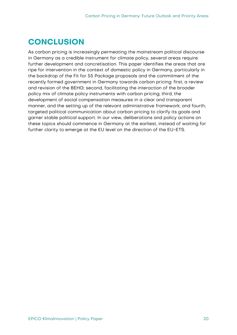# <span id="page-23-0"></span>**CONCLUSION**

As carbon pricing is increasingly permeating the mainstream political discourse in Germany as a credible instrument for climate policy, several areas require further development and concretisation. This paper identifies the areas that are ripe for intervention in the context of domestic policy in Germany, particularly in the backdrop of the Fit for 55 Package proposals and the commitment of the recently formed government in Germany towards carbon pricing: first, a review and revision of the BEHG; second, facilitating the interaction of the broader policy mix of climate policy instruments with carbon pricing; third, the development of social compensation measures in a clear and transparent manner, and the setting up of the relevant administrative framework; and fourth, targeted political communication about carbon pricing to clarify its goals and garner stable political support. In our view, deliberations and policy actions on these topics should commence in Germany at the earliest, instead of waiting for further clarity to emerge at the EU level on the direction of the EU-ETS.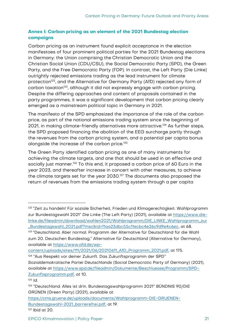# <span id="page-24-0"></span>**Annex I: Carbon pricing as an element of the 2021 Bundestag election campaigns**

Carbon pricing as an instrument found explicit acceptance in the election manifestoes of four prominent political parties for the 2021 Bundestag elections in Germany: the Union comprising the Christian Democratic Union and the Christian Social Union (CDU/CSU), the Social Democratic Party (SPD), the Green Party, and the Free Democratic Party (FDP). In contrast, the Left Party (Die Linke) outrightly rejected emissions trading as the lead instrument for climate protection<sup>122</sup>, and the Alternative for Germany Party (AfD) rejected any form of carbon taxation<sup>123</sup>, although it did not expressly engage with carbon pricing. Despite the differing approaches and content of proposals contained in the party programmes, it was a significant development that carbon pricing clearly emerged as a mainstream political topic in Germany in 2021.

The manifesto of the SPD emphasized the importance of the role of the carbon price, as part of the national emissions trading system since the beginning of 2021, in making climate-friendly alternatives more attractive.<sup>124</sup> As further steps, the SPD proposed financing the abolition of the EEG surcharge partly through the revenues from the carbon pricing system, and a potential per capita bonus alongside the increase of the carbon price.<sup>125</sup>

The Green Party identified carbon pricing as one of many instruments for achieving the climate targets, and one that should be used in an effective and socially just manner.<sup>126</sup> To this end, it proposed a carbon price of 60 Euro in the year 2023, and thereafter increase in concert with other measures, to achieve the climate targets set for the year 2030.<sup>127</sup> The documents also proposed the return of revenues from the emissions trading system through a per capita

[content/uploads/sites/111/2021/06/20210611\\_AfD\\_Programm\\_2021.pdf,](https://www.afd.de/wp-content/uploads/sites/111/2021/06/20210611_AfD_Programm_2021.pdf) at 175. <sup>124</sup> "Aus Respekt vor deiner Zukunft. Das Zukunftsprogramm der SPD"

Sozialdemokratische Partei Deutschlands (Social Democratic Party of Germany) (2021), available at [https://www.spd.de/fileadmin/Dokumente/Beschluesse/Programm/SPD-](https://www.spd.de/fileadmin/Dokumente/Beschluesse/Programm/SPD-Zukunftsprogramm.pdf)[Zukunftsprogramm.pdf,](https://www.spd.de/fileadmin/Dokumente/Beschluesse/Programm/SPD-Zukunftsprogramm.pdf) at 10.

 $125$  Id.

<sup>127</sup> Ibid at 20.

<sup>&</sup>lt;sup>122</sup> "Zeit zu handeln! Für soziale Sicherheit, Frieden und Klimagerechtigkeit: Wahlprogramm zur Bundestagswahl 2021" Die Linke (The Left Party) (2021), available at [https://www.die](https://www.die-linke.de/fileadmin/download/wahlen2021/Wahlprogramm/DIE_LINKE_Wahlprogramm_zur_Bundestagswahl_2021.pdf?msclkid=f1aa23dbc55c11ecbc4e26c9d9e4c6ec)[linke.de/fileadmin/download/wahlen2021/Wahlprogramm/DIE\\_LINKE\\_Wahlprogramm\\_zur](https://www.die-linke.de/fileadmin/download/wahlen2021/Wahlprogramm/DIE_LINKE_Wahlprogramm_zur_Bundestagswahl_2021.pdf?msclkid=f1aa23dbc55c11ecbc4e26c9d9e4c6ec) [\\_Bundestagswahl\\_2021.pdf?msclkid=f1aa23dbc55c11ecbc4e26c9d9e4c6ec,](https://www.die-linke.de/fileadmin/download/wahlen2021/Wahlprogramm/DIE_LINKE_Wahlprogramm_zur_Bundestagswahl_2021.pdf?msclkid=f1aa23dbc55c11ecbc4e26c9d9e4c6ec) at 68.

<sup>123</sup> "Deutschland. Aber normal. Programm der Alternative für Deutschland für die Wahl zum 20. Deutschen Bundestag." Alternative für Deutschland (Alternative for Germany), available at [https://www.afd.de/wp-](https://www.afd.de/wp-content/uploads/sites/111/2021/06/20210611_AfD_Programm_2021.pdf)

<sup>126</sup> "Deutschland. Alles ist drin. Bundestagswahlprogramm 2021" BÜNDNIS 90/DIE GRÜNEN (Green Party) (2021), available at

[https://cms.gruene.de/uploads/documents/Wahlprogramm-DIE-GRUENEN-](https://cms.gruene.de/uploads/documents/Wahlprogramm-DIE-GRUENEN-Bundestagswahl-2021_barrierefrei.pdf)[Bundestagswahl-2021\\_barrierefrei.pdf,](https://cms.gruene.de/uploads/documents/Wahlprogramm-DIE-GRUENEN-Bundestagswahl-2021_barrierefrei.pdf) at 19.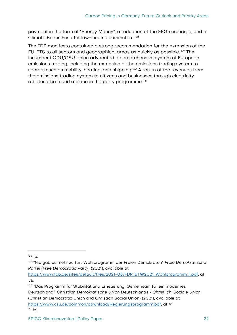payment in the form of "Energy Money", a reduction of the EEG surcharge, and a Climate Bonus Fund for low-income commuters. <sup>128</sup>

The FDP manifesto contained a strong recommendation for the extension of the EU-ETS to all sectors and geographical areas as quickly as possible. <sup>129</sup> The incumbent CDU/CSU Union advocated a comprehensive system of European emissions trading, including the extension of the emissions trading system to sectors such as mobility, heating, and shipping.<sup>130</sup> A return of the revenues from the emissions trading system to citizens and businesses through electricity rebates also found a place in the party programme. 131

<sup>128</sup> Id.

<sup>&</sup>lt;sup>129</sup> "Nie gab es mehr zu tun. Wahlprogramm der Freien Demokraten" Freie Demokratische Partei (Free Democratic Party) (2021), available at

[https://www.fdp.de/sites/default/files/2021-08/FDP\\_BTW2021\\_Wahlprogramm\\_1.pdf,](https://www.fdp.de/sites/default/files/2021-08/FDP_BTW2021_Wahlprogramm_1.pdf) at 58.

<sup>130</sup> "Das Programm für Stabilität und Erneuerung. Gemeinsam für ein modernes Deutschland." Christlich Demokratische Union Deutschlands / Christlich-Soziale Union (Christian Democratic Union and Christian Social Union) (2021), available at [https://www.csu.de/common/download/Regierungsprogramm.pdf,](https://www.csu.de/common/download/Regierungsprogramm.pdf) at 41.  $131$  Id.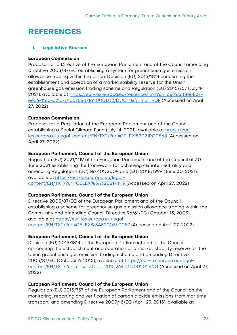# <span id="page-26-0"></span>**REFERENCES**

#### **I. Legislative Sources**

#### **European Commission**

Proposal for a Directive of the European Parliament and of the Council amending Directive 2003/87/EC establishing a system for greenhouse gas emission allowance trading within the Union, Decision (EU) 2015/1814 concerning the establishment and operation of a market stability reserve for the Union greenhouse gas emission trading scheme and Regulation (EU) 2015/757 (July 14, 2021), available at [https://eur-lex.europa.eu/resource.html?uri=cellar:618e6837](https://eur-lex.europa.eu/resource.html?uri=cellar:618e6837-eec6-11eb-a71c-01aa75ed71a1.0001.02/DOC_1&format=PDF) [eec6-11eb-a71c-01aa75ed71a1.0001.02/DOC\\_1&format=PDF](https://eur-lex.europa.eu/resource.html?uri=cellar:618e6837-eec6-11eb-a71c-01aa75ed71a1.0001.02/DOC_1&format=PDF) (Accessed on April 27, 2022)

#### **European Commission**

Proposal for a Regulation of the European Parliament and of the Council establishing a Social Climate Fund (July 14, 2021), available at [https://eur](https://eur-lex.europa.eu/legal-content/EN/TXT/?uri=CELEX:52021PC0568)[lex.europa.eu/legal-content/EN/TXT/?uri=CELEX:52021PC0568](https://eur-lex.europa.eu/legal-content/EN/TXT/?uri=CELEX:52021PC0568) (Accessed on April 27, 2022)

#### **European Parliament, Council of the European Union**

Regulation (EU) 2021/1119 of the European Parliament and of the Council of 30 June 2021 establishing the framework for achieving climate neutrality and amending Regulations (EC) No 401/2009 and (EU) 2018/1999 (June 30, 2021), available at [https://eur-lex.europa.eu/legal](https://eur-lex.europa.eu/legal-content/EN/TXT/?uri=CELEX%3A32021R1119%20)[content/EN/TXT/?uri=CELEX%3A32021R1119 \(](https://eur-lex.europa.eu/legal-content/EN/TXT/?uri=CELEX%3A32021R1119%20)Accessed on April 27, 2022)

## **European Parliament, Council of the European Union**

Directive 2003/87/EC of the European Parliament and of the Council establishing a scheme for greenhouse gas emission allowance trading within the Community and amending Council Directive 96/61/EC (October 13, 2003), available at [https://eur-lex.europa.eu/legal](https://eur-lex.europa.eu/legal-content/EN/TXT/?uri=CELEX%3A32003L0087)[content/EN/TXT/?uri=CELEX%3A32003L0087](https://eur-lex.europa.eu/legal-content/EN/TXT/?uri=CELEX%3A32003L0087) (Accessed on April 27, 2022)

## **European Parliament, Council of the European Union**

Decision (EU) 2015/1814 of the European Parliament and of the Council concerning the establishment and operation of a market stability reserve for the Union greenhouse gas emission trading scheme and amending Directive 2003/87/EC (October 6, 2015), available at [https://eur-lex.europa.eu/legal](https://eur-lex.europa.eu/legal-content/EN/TXT/?uri=uriserv:OJ.L_.2015.264.01.0001.01.ENG)[content/EN/TXT/?uri=uriserv:OJ.L\\_.2015.264.01.0001.01.ENG](https://eur-lex.europa.eu/legal-content/EN/TXT/?uri=uriserv:OJ.L_.2015.264.01.0001.01.ENG) (Accessed on April 27, 2022)

#### **European Parliament, Council of the European Union**

Regulation (EU) 2015/757 of the European Parliament and of the Council on the monitoring, reporting and verification of carbon dioxide emissions from maritime transport, and amending Directive 2009/16/EC (April 29, 2015), available at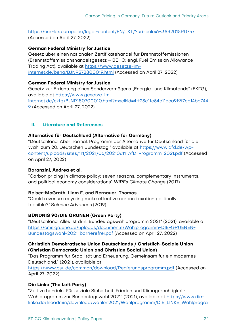<https://eur-lex.europa.eu/legal-content/EN/TXT/?uri=celex%3A32015R0757> (Accessed on April 27, 2022)

## **German Federal Ministry for Justice**

Gesetz über einen nationalen Zertifikatehandel für Brennstoffemissionen (Brennstoffemissionshandelsgesetz – BEHG; engl. Fuel Emission Allowance Trading Act), available at [https://www.gesetze-im](https://www.gesetze-im-internet.de/behg/BJNR272800019.html)[internet.de/behg/BJNR272800019.html](https://www.gesetze-im-internet.de/behg/BJNR272800019.html) (Accessed on April 27, 2022)

## **German Federal Ministry for Justice**

Gesetz zur Errichtung eines Sondervermögens "Energie- und Klimafonds" (EKFG), available at [https://www.gesetze-im](https://www.gesetze-im-internet.de/ekfg/BJNR180700010.html?msclkid=4ff23e1fc54c11eca9f9f7ee14ba7449)[internet.de/ekfg/BJNR180700010.html?msclkid=4ff23e1fc54c11eca9f9f7ee14ba744](https://www.gesetze-im-internet.de/ekfg/BJNR180700010.html?msclkid=4ff23e1fc54c11eca9f9f7ee14ba7449) [9](https://www.gesetze-im-internet.de/ekfg/BJNR180700010.html?msclkid=4ff23e1fc54c11eca9f9f7ee14ba7449) (Accessed on April 27, 2022)

# **II. Literature and References**

## **Alternative für Deutschland (Alternative for Germany)**

"Deutschland. Aber normal. Programm der Alternative für Deutschland für die Wahl zum 20. Deutschen Bundestag." available at [https://www.afd.de/wp](https://www.afd.de/wp-content/uploads/sites/111/2021/06/20210611_AfD_Programm_2021.pdf)[content/uploads/sites/111/2021/06/20210611\\_AfD\\_Programm\\_2021.pdf](https://www.afd.de/wp-content/uploads/sites/111/2021/06/20210611_AfD_Programm_2021.pdf) (Accessed on April 27, 2022)

## **Baranzini, Andrea et al.**

"Carbon pricing in climate policy: seven reasons, complementary instruments, and political economy considerations" WIREs Climate Change (2017)

## **Beiser-McGrath, Liam F. and Bernauer, Thomas**

"Could revenue recycling make effective carbon taxation politically feasible?" Science Advances (2019)

## **BÜNDNIS 90/DIE GRÜNEN (Green Party)**

"Deutschland. Alles ist drin. Bundestagswahlprogramm 2021" (2021), available at [https://cms.gruene.de/uploads/documents/Wahlprogramm-DIE-GRUENEN-](https://cms.gruene.de/uploads/documents/Wahlprogramm-DIE-GRUENEN-Bundestagswahl-2021_barrierefrei.pdf)[Bundestagswahl-2021\\_barrierefrei.pdf](https://cms.gruene.de/uploads/documents/Wahlprogramm-DIE-GRUENEN-Bundestagswahl-2021_barrierefrei.pdf) (Accessed on April 27, 2022)

## **Christlich Demokratische Union Deutschlands / Christlich-Soziale Union (Christian Democratic Union and Christian Social Union)**

"Das Programm für Stabilität und Erneuerung. Gemeinsam für ein modernes Deutschland." (2021), available at

<https://www.csu.de/common/download/Regierungsprogramm.pdf> (Accessed on April 27, 2022)

## **Die Linke (The Left Party)**

"Zeit zu handeln! Für soziale Sicherheit, Frieden und Klimagerechtigkeit: Wahlprogramm zur Bundestagswahl 2021" (2021), available at [https://www.die](https://www.die-linke.de/fileadmin/download/wahlen2021/Wahlprogramm/DIE_LINKE_Wahlprogramm_zur_Bundestagswahl_2021.pdf?msclkid=f1aa23dbc55c11ecbc4e26c9d9e4c6ec%20)[linke.de/fileadmin/download/wahlen2021/Wahlprogramm/DIE\\_LINKE\\_Wahlprogra](https://www.die-linke.de/fileadmin/download/wahlen2021/Wahlprogramm/DIE_LINKE_Wahlprogramm_zur_Bundestagswahl_2021.pdf?msclkid=f1aa23dbc55c11ecbc4e26c9d9e4c6ec%20)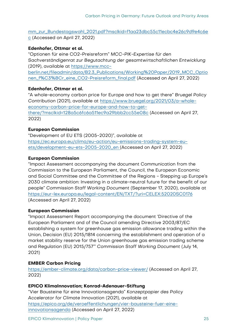[mm\\_zur\\_Bundestagswahl\\_2021.pdf?msclkid=f1aa23dbc55c11ecbc4e26c9d9e4c6e](https://www.die-linke.de/fileadmin/download/wahlen2021/Wahlprogramm/DIE_LINKE_Wahlprogramm_zur_Bundestagswahl_2021.pdf?msclkid=f1aa23dbc55c11ecbc4e26c9d9e4c6ec%20) [c](https://www.die-linke.de/fileadmin/download/wahlen2021/Wahlprogramm/DIE_LINKE_Wahlprogramm_zur_Bundestagswahl_2021.pdf?msclkid=f1aa23dbc55c11ecbc4e26c9d9e4c6ec%20) (Accessed on April 27, 2022)

#### **Edenhofer, Ottmar et al.**

"Optionen für eine CO2-Preisreform" MCC-PIK-Expertise für den Sachverständigenrat zur Begutachtung der gesamtwirtschaftlichen Entwicklung (2019), available at [https://www.mcc](https://www.mcc-berlin.net/fileadmin/data/B2.3_Publications/Working%20Paper/2019_MCC_Optionen_f%C3%BCr_eine_CO2-Preisreform_final.pdf)[berlin.net/fileadmin/data/B2.3\\_Publications/Working%20Paper/2019\\_MCC\\_Optio](https://www.mcc-berlin.net/fileadmin/data/B2.3_Publications/Working%20Paper/2019_MCC_Optionen_f%C3%BCr_eine_CO2-Preisreform_final.pdf) [nen\\_f%C3%BCr\\_eine\\_CO2-Preisreform\\_final.pdf](https://www.mcc-berlin.net/fileadmin/data/B2.3_Publications/Working%20Paper/2019_MCC_Optionen_f%C3%BCr_eine_CO2-Preisreform_final.pdf) (Accessed on April 27, 2022)

#### **Edenhofer, Ottmar et al.**

"A whole-economy carbon price for Europe and how to get there" Bruegel Policy Contribution (2021), available at [https://www.bruegel.org/2021/03/a-whole](https://www.bruegel.org/2021/03/a-whole-economy-carbon-price-for-europe-and-how-to-get-there/?msclkid=128a5c6fc6a511ec9a29bbb2cc55e08c)[economy-carbon-price-for-europe-and-how-to-get](https://www.bruegel.org/2021/03/a-whole-economy-carbon-price-for-europe-and-how-to-get-there/?msclkid=128a5c6fc6a511ec9a29bbb2cc55e08c)[there/?msclkid=128a5c6fc6a511ec9a29bbb2cc55e08c](https://www.bruegel.org/2021/03/a-whole-economy-carbon-price-for-europe-and-how-to-get-there/?msclkid=128a5c6fc6a511ec9a29bbb2cc55e08c) (Accessed on April 27, 2022)

## **European Commission**

"Development of EU ETS (2005-2020)", available at [https://ec.europa.eu/clima/eu-action/eu-emissions-trading-system-eu](https://ec.europa.eu/clima/eu-action/eu-emissions-trading-system-eu-ets/development-eu-ets-2005-2020_en)[ets/development-eu-ets-2005-2020\\_en \(](https://ec.europa.eu/clima/eu-action/eu-emissions-trading-system-eu-ets/development-eu-ets-2005-2020_en)Accessed on April 27, 2022)

#### **European Commission**

"Impact Assessment accompanying the document Communication from the Commission to the European Parliament, the Council, the European Economic and Social Committee and the Committee of the Regions - Stepping up Europe's 2030 climate ambition: Investing in a climate-neutral future for the benefit of our people" Commission Staff Working Document (September 17, 2020), available at [https://eur-lex.europa.eu/legal-content/EN/TXT/?uri=CELEX:52020SC0176](https://eur-lex.europa.eu/legal-content/EN/TXT/?uri=CELEX:52020SC0176%20) (Accessed on April 27, 2022)

#### **European Commission**

"Impact Assessment Report accompanying the document 'Directive of the European Parliament and of the Council amending Directive 2003/87/EC establishing a system for greenhouse gas emission allowance trading within the Union, Decision (EU) 2015/1814 concerning the establishment and operation of a market stability reserve for the Union greenhouse gas emission trading scheme and Regulation (EU) 2015/757'" Commission Staff Working Document (July 14, 2021)

## **EMBER Carbon Pricing**

<https://ember-climate.org/data/carbon-price-viewer/> (Accessed on April 27, 2022)

#### **EPICO KlimaInnovation; Konrad-Adenauer-Stiftung**

"Vier Bausteine für eine Innovationsagenda" Konzeptpapier des Policy Accelerator for Climate Innovation (2021), available at [https://epico.org/de/veroeffentlichungen/vier-bausteine-fuer-eine](https://epico.org/de/veroeffentlichungen/vier-bausteine-fuer-eine-innovationsagenda)[innovationsagenda](https://epico.org/de/veroeffentlichungen/vier-bausteine-fuer-eine-innovationsagenda) (Accessed on April 27, 2022)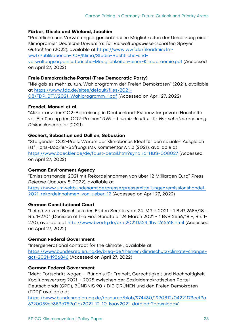#### **Färber, Gisela and Wieland, Joachim**

"Rechtliche und Verwaltungsorganisatorische Möglichkeiten der Umsetzung einer Klimaprämie" Deutsche Universität für Verwaltungswissenschaften Speyer Gutachten (2022), available at https://www.wwf.de/fileadmin/fmwwf/Publikationen-PDF/Klima/Studie-Rechtliche-undverwaltungsorganisatorische-Moeglichkeiten-einer-Klimapraemie.pdf (Accessed on April 27, 2022)

#### **Freie Demokratische Partei (Free Democratic Party)**

"Nie gab es mehr zu tun. Wahlprogramm der Freien Demokraten" (2021), available at https://www.fdp.de/sites/default/files/2021- 08/FDP\_BTW2021\_Wahlprogramm\_1.pdf (Accessed on April 27, 2022)

#### **Frondel, Manuel et al.**

"Akzeptanz der CO2-Bepreisung in Deutschland: Evidenz für private Haushalte vor Einführung des CO2-Preises" RWI – Leibniz-Institut für Wirtschaftsforschung Diskussionspapier (2021)

#### **Gechert, Sebastian and Dullien, Sebastian**

"Steigender CO2-Preis: Warum der Klimabonus Ideal für den sozialen Ausgleich ist" Hans-Böckler-Stiftung: IMK Kommentar Nr. 2 (2021), available at https://www.boeckler.de/de/faust-detail.htm?sync\_id=HBS-008027 (Accessed on April 27, 2022)

#### **German Environment Agency**

"Emissionshandel 2021 mit Rekordeinnahmen von über 12 Milliarden Euro" Press Release (January 5, 2022), available at

https://www.umweltbundesamt.de/presse/pressemitteilungen/emissionshandel-2021-rekordeinnahmen-von-ueber-12 (Accessed on April 27, 2022)

#### **German Constitutional Court**

"Leitsätze zum Beschluss des Ersten Senats vom 24. März 2021 - 1 BvR 2656/18 -, Rn. 1-270" (Decision of the First Senate of 24 March 2021 - 1 BvR 2656/18 -, Rn. 1- 270), available at http://www.bverfg.de/e/rs20210324\_1bvr265618.html (Accessed on April 27, 2022)

#### **German Federal Government**

"Intergenerational contract for the climate", available at https://www.bundesregierung.de/breg-de/themen/klimaschutz/climate-changeact-2021-1936846 (Accessed on April 27, 2022)

#### **German Federal Government**

"Mehr Fortschritt wagen – Bündnis für Freiheit, Gerechtigkeit und Nachhaltigkeit. Koalitionsvertrag 2021 – 2025 zwischen der Sozialdemokratischen Partei Deutschlands (SPD), BÜNDNIS 90 / DIE GRÜNEN und den Freien Demokraten (FDP)" available at

https://www.bundesregierung.de/resource/blob/974430/1990812/04221173eef9a 6720059cc353d759a2b/2021-12-10-koav2021-data.pdf?download=1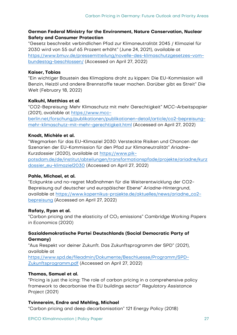#### **German Federal Ministry for the Environment, Nature Conservation, Nuclear Safety and Consumer Protection**

"Gesetz beschreibt verbindlichen Pfad zur Klimaneutralität 2045 / Klimaziel für 2030 wird von 55 auf 65 Prozent erhöht" (June 24, 2021), available at https://www.bmuv.de/pressemitteilung/novelle-des-klimaschutzgesetzes-vombundestag-beschlossen/ (Accessed on April 27, 2022)

#### **Kaiser, Tobias**

"Ein wichtiger Baustein des Klimaplans droht zu kippen: Die EU-Kommission will Benzin, Heizöl und andere Brennstoffe teuer machen. Darüber gibt es Streit" Die Welt (February 18, 2022)

#### **Kalkuhl, Matthias et al**.

"CO2-Bepreisung: Mehr Klimaschutz mit mehr Gerechtigkeit" MCC-Arbeitspapier (2021), available at https://www.mcc-

berlin.net/forschung/publikationen/publikationen-detail/article/co2-bepreisungmehr-klimaschutz-mit-mehr-gerechtigkeit.html (Accessed on April 27, 2022)

#### **Knodt, Michèle et al.**

"Wegmarken für das EU-Klimaziel 2030: Versteckte Risiken und Chancen der Szenarien der EU-Kommission für den Pfad zur Klimaneutralität" Ariadne-Kurzdossier (2020), available at https://www.pikpotsdam.de/de/institut/abteilungen/transformationspfade/projekte/ariadne/kurz dossier\_eu-klimaziel2030 (Accessed on April 27, 2022)

#### **Pahle, Michael, et al.**

"Eckpunkte und no-regret Maßnahmen für die Weiterentwicklung der CO2- Bepreisung auf deutscher und europäischer Ebene" Ariadne-Hintergrund, available at https://www.kopernikus-projekte.de/aktuelles/news/ariadne\_co2 bepreisung (Accessed on April 27, 2022)

#### **Rafaty, Ryan et al.**

"Carbon pricing and the elasticity of  $CO<sub>2</sub>$  emissions" Cambridge Working Papers in Economics (2020)

#### **Sozialdemokratische Partei Deutschlands (Social Democratic Party of Germany)**

"Aus Respekt vor deiner Zukunft. Das Zukunftsprogramm der SPD" (2021), available at

https://www.spd.de/fileadmin/Dokumente/Beschluesse/Programm/SPD-Zukunftsprogramm.pdf (Accessed on April 27, 2022)

#### **Thomas, Samuel et al.**

"Pricing is just the icing: The role of carbon pricing in a comprehensive policy framework to decarbonise the EU buildings sector" Regulatory Assistance Project (2021)

#### **Tvinnereim, Endre and Mehling, Michael**

"Carbon pricing and deep decarbonisation" 121 Energy Policy (2018)